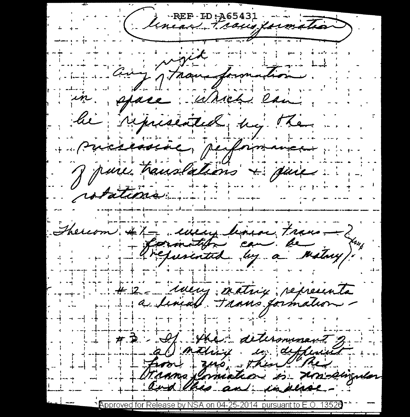REF ID: A65431 Que y promotion. space : Which lain. le represented by the Pursessine, performance J parce translations & quie rotations thereom #1 every linear trans -><br>- Sarmatiful can be matay). # 2 - ideny exiting representa # D - If the determinent 2. a mathing in different from zur, then when Transformation is undiverse and this and indical.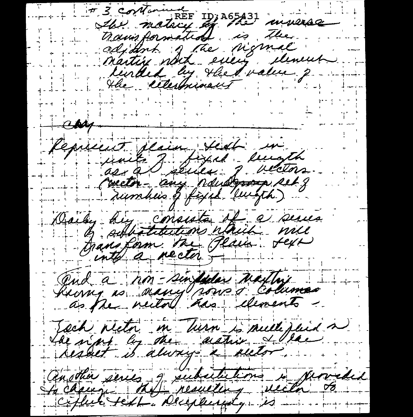# 3 contained the moticy of the winnac trainsformation is the adjohnt gate nigmal<br>Martin noch every deneut  $\triangle M$ Cepiecet jesin, sieh in units J. fixed leursth<br>conctor-any naudonna set g Daily huy consista if a series adhotitutions which will transform tre Plain sext and a hon-sindeder natter Toch nector in Turn is multiplied a de n'ans les during a actives & la another series of subsidiations is provided ciflul text Deciplinaty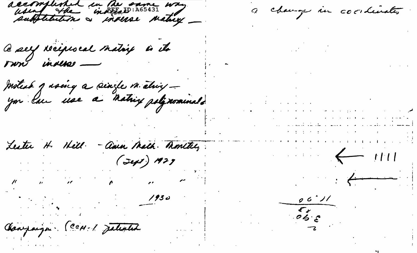accomplished in the same way

Ce sey réciprocal matrix is its

Instead quoing a single in étuig -

Amn Math. Monttel, Lester H. Hill.

 $\mathcal{L}(\mathcal{L})$  and  $\mathcal{L}(\mathcal{L})$ 

the contract of the contract of the

Conjaign CCM-1 Jaliated

 $1930$ 

a change in coordinates

 $\mathcal{L}^{\mathcal{L}}$  and  $\mathcal{L}^{\mathcal{L}}$  are the following functions of  $\mathcal{L}^{\mathcal{L}}$ المحترم والمستندر والمستعين والمتعارض والمستندر والمستعين والمستعين والمستعين المتألف والمتواطن والمستقلة والمتعارف والمعاري التاريخ المتاريخ

أنستسم وبالانتشاب والتراوي والمتمش والطريقة فتستناد المرامي the deviation of the control of the control of the con-

 $\leftarrow$   $1111$ 

 $\frac{1}{\sqrt{1-\frac{1}{\sqrt{1-\frac{1}{\sqrt{1-\frac{1}{\sqrt{1-\frac{1}{\sqrt{1-\frac{1}{\sqrt{1-\frac{1}{\sqrt{1-\frac{1}{\sqrt{1-\frac{1}{\sqrt{1-\frac{1}{\sqrt{1-\frac{1}{\sqrt{1-\frac{1}{\sqrt{1-\frac{1}{\sqrt{1-\frac{1}{\sqrt{1-\frac{1}{\sqrt{1-\frac{1}{\sqrt{1-\frac{1}{\sqrt{1-\frac{1}{\sqrt{1-\frac{1}{\sqrt{1-\frac{1}{\sqrt{1-\frac{1}{\sqrt{1-\frac{1}{\sqrt{1-\frac{1}{\sqrt{1-\frac{1}{\sqrt{1-\frac{1$ 

 $06.71$  $\begin{array}{c} \overline{c} \\ \overline{c} \\ \overline{c} \\ \overline{c} \end{array}$